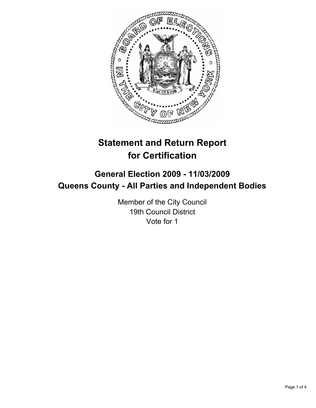

# **Statement and Return Report for Certification**

## **General Election 2009 - 11/03/2009 Queens County - All Parties and Independent Bodies**

Member of the City Council 19th Council District Vote for 1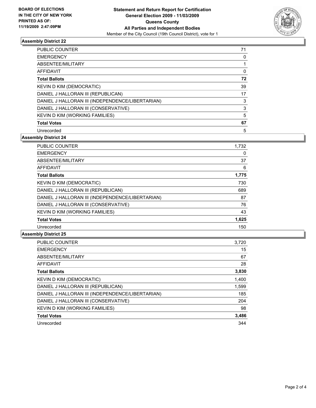

### **Assembly District 22**

| <b>PUBLIC COUNTER</b>                            | 71 |
|--------------------------------------------------|----|
| <b>EMERGENCY</b>                                 | 0  |
| ABSENTEE/MILITARY                                | 1  |
| AFFIDAVIT                                        | 0  |
| <b>Total Ballots</b>                             | 72 |
| <b>KEVIN D KIM (DEMOCRATIC)</b>                  | 39 |
| DANIEL J HALLORAN III (REPUBLICAN)               | 17 |
| DANIEL J HALLORAN III (INDEPENDENCE/LIBERTARIAN) | 3  |
| DANIEL J HALLORAN III (CONSERVATIVE)             | 3  |
| KEVIN D KIM (WORKING FAMILIES)                   | 5  |
| <b>Total Votes</b>                               | 67 |
| Unrecorded                                       | 5  |

**Assembly District 24**

| 1,732 |
|-------|
| 0     |
| 37    |
| 6     |
| 1,775 |
| 730   |
| 689   |
| 87    |
| 76    |
| 43    |
| 1,625 |
| 150   |
|       |

#### **Assembly District 25**

| <b>PUBLIC COUNTER</b>                            | 3,720 |
|--------------------------------------------------|-------|
| <b>EMERGENCY</b>                                 | 15    |
| ABSENTEE/MILITARY                                | 67    |
| <b>AFFIDAVIT</b>                                 | 28    |
| <b>Total Ballots</b>                             | 3,830 |
| <b>KEVIN D KIM (DEMOCRATIC)</b>                  | 1,400 |
| DANIEL J HALLORAN III (REPUBLICAN)               | 1,599 |
| DANIEL J HALLORAN III (INDEPENDENCE/LIBERTARIAN) | 185   |
| DANIEL J HALLORAN III (CONSERVATIVE)             | 204   |
| KEVIN D KIM (WORKING FAMILIES)                   | 98    |
| <b>Total Votes</b>                               | 3,486 |
| Unrecorded                                       | 344   |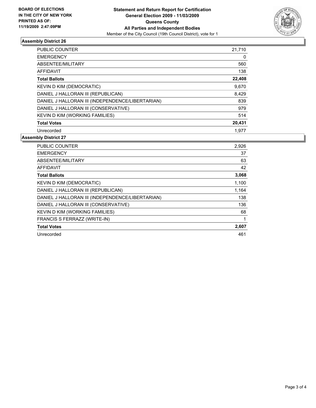

### **Assembly District 26**

| <b>PUBLIC COUNTER</b>                            | 21,710 |
|--------------------------------------------------|--------|
| <b>EMERGENCY</b>                                 | 0      |
| ABSENTEE/MILITARY                                | 560    |
| <b>AFFIDAVIT</b>                                 | 138    |
| <b>Total Ballots</b>                             | 22,408 |
| <b>KEVIN D KIM (DEMOCRATIC)</b>                  | 9,670  |
| DANIEL J HALLORAN III (REPUBLICAN)               | 8,429  |
| DANIEL J HALLORAN III (INDEPENDENCE/LIBERTARIAN) | 839    |
| DANIEL J HALLORAN III (CONSERVATIVE)             | 979    |
| KEVIN D KIM (WORKING FAMILIES)                   | 514    |
| <b>Total Votes</b>                               | 20,431 |
| Unrecorded                                       | 1.977  |

#### **Assembly District 27**

| <b>PUBLIC COUNTER</b>                            | 2,926 |
|--------------------------------------------------|-------|
| <b>EMERGENCY</b>                                 | 37    |
| ABSENTEE/MILITARY                                | 63    |
| AFFIDAVIT                                        | 42    |
| <b>Total Ballots</b>                             | 3,068 |
| <b>KEVIN D KIM (DEMOCRATIC)</b>                  | 1,100 |
| DANIEL J HALLORAN III (REPUBLICAN)               | 1,164 |
| DANIEL J HALLORAN III (INDEPENDENCE/LIBERTARIAN) | 138   |
| DANIEL J HALLORAN III (CONSERVATIVE)             | 136   |
| KEVIN D KIM (WORKING FAMILIES)                   | 68    |
| FRANCIS S FERRAZZ (WRITE-IN)                     | 1     |
| <b>Total Votes</b>                               | 2,607 |
| Unrecorded                                       | 461   |